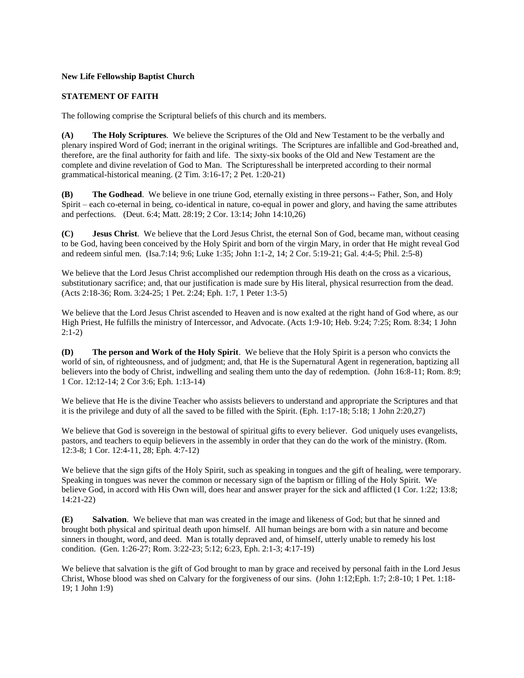## **New Life Fellowship Baptist Church**

## **STATEMENT OF FAITH**

The following comprise the Scriptural beliefs of this church and its members.

**(A) The Holy Scriptures**. We believe the Scriptures of the Old and New Testament to be the verbally and plenary inspired Word of God; inerrant in the original writings. The Scriptures are infallible and God-breathed and, therefore, are the final authority for faith and life. The sixty-six books of the Old and New Testament are the complete and divine revelation of God to Man. The Scripturesshall be interpreted according to their normal grammatical-historical meaning. (2 Tim. 3:16-17; 2 Pet. 1:20-21)

**(B) The Godhead**. We believe in one triune God, eternally existing in three persons-- Father, Son, and Holy Spirit – each co-eternal in being, co-identical in nature, co-equal in power and glory, and having the same attributes and perfections. (Deut. 6:4; Matt. 28:19; 2 Cor. 13:14; John 14:10,26)

**(C) Jesus Christ**. We believe that the Lord Jesus Christ, the eternal Son of God, became man, without ceasing to be God, having been conceived by the Holy Spirit and born of the virgin Mary, in order that He might reveal God and redeem sinful men. (Isa.7:14; 9:6; Luke 1:35; John 1:1-2, 14; 2 Cor. 5:19-21; Gal. 4:4-5; Phil. 2:5-8)

We believe that the Lord Jesus Christ accomplished our redemption through His death on the cross as a vicarious, substitutionary sacrifice; and, that our justification is made sure by His literal, physical resurrection from the dead. (Acts 2:18-36; Rom. 3:24-25; 1 Pet. 2:24; Eph. 1:7, 1 Peter 1:3-5)

We believe that the Lord Jesus Christ ascended to Heaven and is now exalted at the right hand of God where, as our High Priest, He fulfills the ministry of Intercessor, and Advocate. (Acts 1:9-10; Heb. 9:24; 7:25; Rom. 8:34; 1 John 2:1-2)

**(D) The person and Work of the Holy Spirit**. We believe that the Holy Spirit is a person who convicts the world of sin, of righteousness, and of judgment; and, that He is the Supernatural Agent in regeneration, baptizing all believers into the body of Christ, indwelling and sealing them unto the day of redemption. (John 16:8-11; Rom. 8:9; 1 Cor. 12:12-14; 2 Cor 3:6; Eph. 1:13-14)

We believe that He is the divine Teacher who assists believers to understand and appropriate the Scriptures and that it is the privilege and duty of all the saved to be filled with the Spirit. (Eph. 1:17-18; 5:18; 1 John 2:20,27)

We believe that God is sovereign in the bestowal of spiritual gifts to every believer. God uniquely uses evangelists, pastors, and teachers to equip believers in the assembly in order that they can do the work of the ministry. (Rom. 12:3-8; 1 Cor. 12:4-11, 28; Eph. 4:7-12)

We believe that the sign gifts of the Holy Spirit, such as speaking in tongues and the gift of healing, were temporary. Speaking in tongues was never the common or necessary sign of the baptism or filling of the Holy Spirit. We believe God, in accord with His Own will, does hear and answer prayer for the sick and afflicted (1 Cor. 1:22; 13:8; 14:21-22)

**(E) Salvation**. We believe that man was created in the image and likeness of God; but that he sinned and brought both physical and spiritual death upon himself. All human beings are born with a sin nature and become sinners in thought, word, and deed. Man is totally depraved and, of himself, utterly unable to remedy his lost condition. (Gen. 1:26-27; Rom. 3:22-23; 5:12; 6:23, Eph. 2:1-3; 4:17-19)

We believe that salvation is the gift of God brought to man by grace and received by personal faith in the Lord Jesus Christ, Whose blood was shed on Calvary for the forgiveness of our sins. (John 1:12;Eph. 1:7; 2:8-10; 1 Pet. 1:18- 19; 1 John 1:9)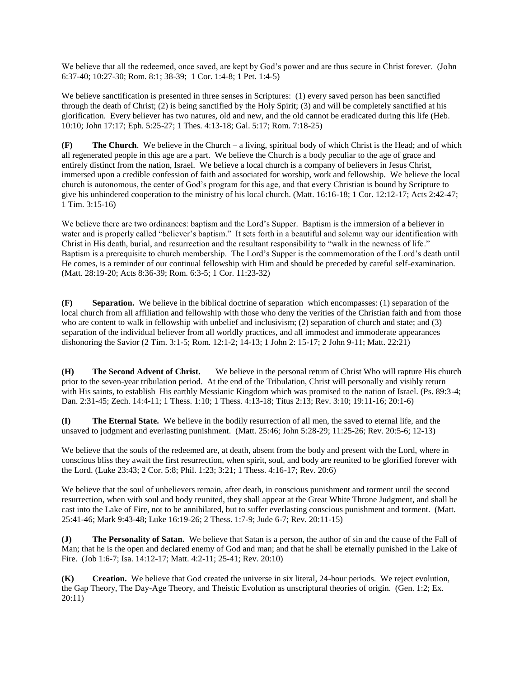We believe that all the redeemed, once saved, are kept by God's power and are thus secure in Christ forever. (John 6:37-40; 10:27-30; Rom. 8:1; 38-39; 1 Cor. 1:4-8; 1 Pet. 1:4-5)

We believe sanctification is presented in three senses in Scriptures: (1) every saved person has been sanctified through the death of Christ; (2) is being sanctified by the Holy Spirit; (3) and will be completely sanctified at his glorification. Every believer has two natures, old and new, and the old cannot be eradicated during this life (Heb. 10:10; John 17:17; Eph. 5:25-27; 1 Thes. 4:13-18; Gal. 5:17; Rom. 7:18-25)

**(F) The Church**. We believe in the Church – a living, spiritual body of which Christ is the Head; and of which all regenerated people in this age are a part. We believe the Church is a body peculiar to the age of grace and entirely distinct from the nation, Israel. We believe a local church is a company of believers in Jesus Christ, immersed upon a credible confession of faith and associated for worship, work and fellowship. We believe the local church is autonomous, the center of God's program for this age, and that every Christian is bound by Scripture to give his unhindered cooperation to the ministry of his local church. (Matt. 16:16-18; 1 Cor. 12:12-17; Acts 2:42-47; 1 Tim. 3:15-16)

We believe there are two ordinances: baptism and the Lord's Supper. Baptism is the immersion of a believer in water and is properly called "believer's baptism." It sets forth in a beautiful and solemn way our identification with Christ in His death, burial, and resurrection and the resultant responsibility to "walk in the newness of life." Baptism is a prerequisite to church membership. The Lord's Supper is the commemoration of the Lord's death until He comes, is a reminder of our continual fellowship with Him and should be preceded by careful self-examination. (Matt. 28:19-20; Acts 8:36-39; Rom. 6:3-5; 1 Cor. 11:23-32)

**(F) Separation.** We believe in the biblical doctrine of separationwhich encompasses: (1) separation of the local church from all affiliation and fellowship with those who deny the verities of the Christian faith and from those who are content to walk in fellowship with unbelief and inclusivism; (2) separation of church and state; and (3) separation of the individual believer from all worldly practices, and all immodest and immoderate appearances dishonoring the Savior (2 Tim. 3:1-5; Rom. 12:1-2; 14-13; 1 John 2: 15-17; 2 John 9-11; Matt. 22:21)

**(H) The Second Advent of Christ.** We believe in the personal return of Christ Who will rapture His church prior to the seven-year tribulation period. At the end of the Tribulation, Christ will personally and visibly return with His saints, to establish His earthly Messianic Kingdom which was promised to the nation of Israel. (Ps. 89:3-4; Dan. 2:31-45; Zech. 14:4-11; 1 Thess. 1:10; 1 Thess. 4:13-18; Titus 2:13; Rev. 3:10; 19:11-16; 20:1-6)

**(I) The Eternal State.** We believe in the bodily resurrection of all men, the saved to eternal life, and the unsaved to judgment and everlasting punishment. (Matt. 25:46; John 5:28-29; 11:25-26; Rev. 20:5-6; 12-13)

We believe that the souls of the redeemed are, at death, absent from the body and present with the Lord, where in conscious bliss they await the first resurrection, when spirit, soul, and body are reunited to be glorified forever with the Lord. (Luke 23:43; 2 Cor. 5:8; Phil. 1:23; 3:21; 1 Thess. 4:16-17; Rev. 20:6)

We believe that the soul of unbelievers remain, after death, in conscious punishment and torment until the second resurrection, when with soul and body reunited, they shall appear at the Great White Throne Judgment, and shall be cast into the Lake of Fire, not to be annihilated, but to suffer everlasting conscious punishment and torment. (Matt. 25:41-46; Mark 9:43-48; Luke 16:19-26; 2 Thess. 1:7-9; Jude 6-7; Rev. 20:11-15)

**(J) The Personality of Satan.** We believe that Satan is a person, the author of sin and the cause of the Fall of Man; that he is the open and declared enemy of God and man; and that he shall be eternally punished in the Lake of Fire. (Job 1:6-7; Isa. 14:12-17; Matt. 4:2-11; 25-41; Rev. 20:10)

**(K) Creation.** We believe that God created the universe in six literal, 24-hour periods. We reject evolution, the Gap Theory, The Day-Age Theory, and Theistic Evolution as unscriptural theories of origin. (Gen. 1:2; Ex. 20:11)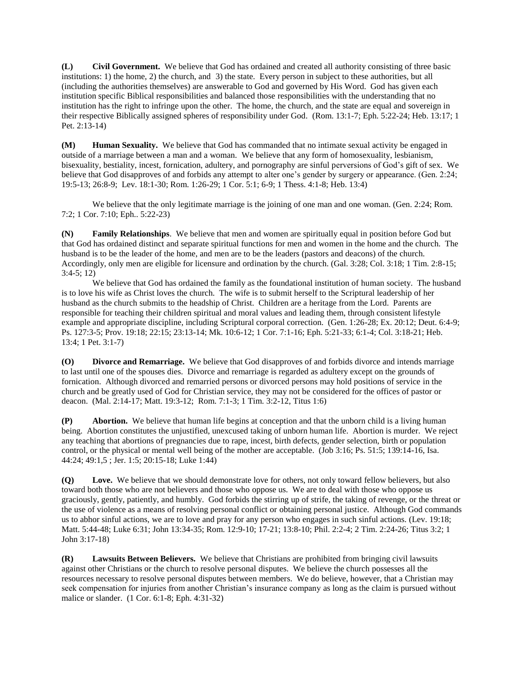**(L) Civil Government.** We believe that God has ordained and created all authority consisting of three basic institutions: 1) the home, 2) the church, and 3) the state. Every person in subject to these authorities, but all (including the authorities themselves) are answerable to God and governed by His Word. God has given each institution specific Biblical responsibilities and balanced those responsibilities with the understanding that no institution has the right to infringe upon the other. The home, the church, and the state are equal and sovereign in their respective Biblically assigned spheres of responsibility under God. (Rom. 13:1-7; Eph. 5:22-24; Heb. 13:17; 1 Pet. 2:13-14)

**(M) Human Sexuality.** We believe that God has commanded that no intimate sexual activity be engaged in outside of a marriage between a man and a woman. We believe that any form of homosexuality, lesbianism, bisexuality, bestiality, incest, fornication, adultery, and pornography are sinful perversions of God's gift of sex. We believe that God disapproves of and forbids any attempt to alter one's gender by surgery or appearance. (Gen. 2:24; 19:5-13; 26:8-9; Lev. 18:1-30; Rom. 1:26-29; 1 Cor. 5:1; 6-9; 1 Thess. 4:1-8; Heb. 13:4)

We believe that the only legitimate marriage is the joining of one man and one woman. (Gen. 2:24; Rom. 7:2; 1 Cor. 7:10; Eph.. 5:22-23)

**(N) Family Relationships**. We believe that men and women are spiritually equal in position before God but that God has ordained distinct and separate spiritual functions for men and women in the home and the church. The husband is to be the leader of the home, and men are to be the leaders (pastors and deacons) of the church. Accordingly, only men are eligible for licensure and ordination by the church. (Gal. 3:28; Col. 3:18; 1 Tim. 2:8-15; 3:4-5; 12)

We believe that God has ordained the family as the foundational institution of human society. The husband is to love his wife as Christ loves the church. The wife is to submit herself to the Scriptural leadership of her husband as the church submits to the headship of Christ. Children are a heritage from the Lord. Parents are responsible for teaching their children spiritual and moral values and leading them, through consistent lifestyle example and appropriate discipline, including Scriptural corporal correction. (Gen. 1:26-28; Ex. 20:12; Deut. 6:4-9; Ps. 127:3-5; Prov. 19:18; 22:15; 23:13-14; Mk. 10:6-12; 1 Cor. 7:1-16; Eph. 5:21-33; 6:1-4; Col. 3:18-21; Heb. 13:4; 1 Pet. 3:1-7)

**(O) Divorce and Remarriage.** We believe that God disapproves of and forbids divorce and intends marriage to last until one of the spouses dies. Divorce and remarriage is regarded as adultery except on the grounds of fornication. Although divorced and remarried persons or divorced persons may hold positions of service in the church and be greatly used of God for Christian service, they may not be considered for the offices of pastor or deacon. (Mal. 2:14-17; Matt. 19:3-12; Rom. 7:1-3; 1 Tim. 3:2-12, Titus 1:6)

**(P) Abortion.** We believe that human life begins at conception and that the unborn child is a living human being. Abortion constitutes the unjustified, unexcused taking of unborn human life. Abortion is murder. We reject any teaching that abortions of pregnancies due to rape, incest, birth defects, gender selection, birth or population control, or the physical or mental well being of the mother are acceptable. (Job 3:16; Ps. 51:5; 139:14-16, Isa. 44:24; 49:1,5 ; Jer. 1:5; 20:15-18; Luke 1:44)

**(Q) Love.** We believe that we should demonstrate love for others, not only toward fellow believers, but also toward both those who are not believers and those who oppose us. We are to deal with those who oppose us graciously, gently, patiently, and humbly. God forbids the stirring up of strife, the taking of revenge, or the threat or the use of violence as a means of resolving personal conflict or obtaining personal justice. Although God commands us to abhor sinful actions, we are to love and pray for any person who engages in such sinful actions. (Lev. 19:18; Matt. 5:44-48; Luke 6:31; John 13:34-35; Rom. 12:9-10; 17-21; 13:8-10; Phil. 2:2-4; 2 Tim. 2:24-26; Titus 3:2; 1 John 3:17-18)

**(R) Lawsuits Between Believers.** We believe that Christians are prohibited from bringing civil lawsuits against other Christians or the church to resolve personal disputes. We believe the church possesses all the resources necessary to resolve personal disputes between members. We do believe, however, that a Christian may seek compensation for injuries from another Christian's insurance company as long as the claim is pursued without malice or slander. (1 Cor. 6:1-8; Eph. 4:31-32)